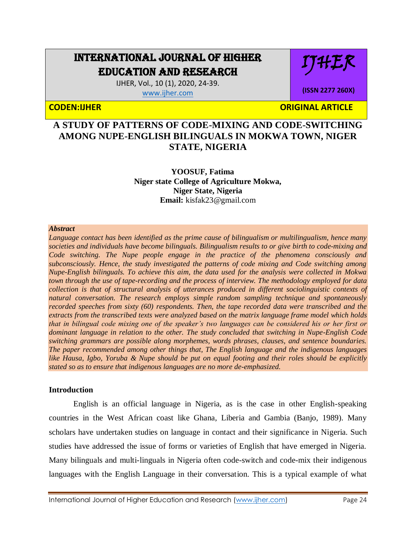# INTERNATIONAL JOURNAL OF HIGHER EDUCATION AND RESEARCH

IHLK

**(ISSN 2277 260X)**

IJHER, Vol., 10 (1), 2020, 24-39.

[www.ijher.com](http://www.ijher.com/)

**CODEN:IJHER ORIGINAL ARTICLE** 

# **A STUDY OF PATTERNS OF CODE-MIXING AND CODE-SWITCHING AMONG NUPE-ENGLISH BILINGUALS IN MOKWA TOWN, NIGER STATE, NIGERIA**

**YOOSUF, Fatima Niger state College of Agriculture Mokwa, Niger State, Nigeria Email:** [kisfak23@gmail.com](mailto:kisfak23@gmail.com)

#### *Abstract*

*Language contact has been identified as the prime cause of bilingualism or multilingualism, hence many societies and individuals have become bilinguals. Bilingualism results to or give birth to code-mixing and Code switching. The Nupe people engage in the practice of the phenomena consciously and subconsciously. Hence, the study investigated the patterns of code mixing and Code switching among Nupe-English bilinguals. To achieve this aim, the data used for the analysis were collected in Mokwa town through the use of tape-recording and the process of interview. The methodology employed for data collection is that of structural analysis of utterances produced in different sociolinguistic contexts of natural conversation. The research employs simple random sampling technique and spontaneously recorded speeches from sixty (60) respondents. Then, the tape recorded data were transcribed and the extracts from the transcribed texts were analyzed based on the matrix language frame model which holds that in bilingual code mixing one of the speaker's two languages can be considered his or her first or dominant language in relation to the other. The study concluded that switching in Nupe-English Code switching grammars are possible along morphemes, words phrases, clauses, and sentence boundaries. The paper recommended among other things that, The English language and the indigenous languages like Hausa, Igbo, Yoruba & Nupe should be put on equal footing and their roles should be explicitly stated so as to ensure that indigenous languages are no more de-emphasized.*

# **Introduction**

English is an official language in Nigeria, as is the case in other English-speaking countries in the West African coast like Ghana, Liberia and Gambia (Banjo, 1989). Many scholars have undertaken studies on language in contact and their significance in Nigeria. Such studies have addressed the issue of forms or varieties of English that have emerged in Nigeria. Many bilinguals and multi-linguals in Nigeria often code-switch and code-mix their indigenous languages with the English Language in their conversation. This is a typical example of what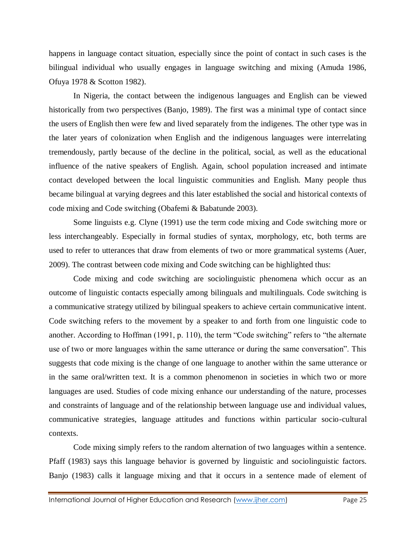happens in language contact situation, especially since the point of contact in such cases is the bilingual individual who usually engages in language switching and mixing (Amuda 1986, Ofuya 1978 & Scotton 1982).

In Nigeria, the contact between the indigenous languages and English can be viewed historically from two perspectives (Banjo, 1989). The first was a minimal type of contact since the users of English then were few and lived separately from the indigenes. The other type was in the later years of colonization when English and the indigenous languages were interrelating tremendously, partly because of the decline in the political, social, as well as the educational influence of the native speakers of English. Again, school population increased and intimate contact developed between the local linguistic communities and English. Many people thus became bilingual at varying degrees and this later established the social and historical contexts of code mixing and Code switching (Obafemi & Babatunde 2003).

Some linguists e.g. Clyne (1991) use the term code mixing and Code switching more or less interchangeably. Especially in formal studies of syntax, morphology, etc, both terms are used to refer to utterances that draw from elements of two or more grammatical systems (Auer, 2009). The contrast between code mixing and Code switching can be highlighted thus:

Code mixing and code switching are sociolinguistic phenomena which occur as an outcome of linguistic contacts especially among bilinguals and multilinguals. Code switching is a communicative strategy utilized by bilingual speakers to achieve certain communicative intent. Code switching refers to the movement by a speaker to and forth from one linguistic code to another. According to Hoffman (1991, p. 110), the term "Code switching" refers to "the alternate use of two or more languages within the same utterance or during the same conversation". This suggests that code mixing is the change of one language to another within the same utterance or in the same oral/written text. It is a common phenomenon in societies in which two or more languages are used. Studies of code mixing enhance our understanding of the nature, processes and constraints of language and of the relationship between language use and individual values, communicative strategies, language attitudes and functions within particular socio-cultural contexts.

Code mixing simply refers to the random alternation of two languages within a sentence. Pfaff (1983) says this language behavior is governed by linguistic and sociolinguistic factors. Banjo (1983) calls it language mixing and that it occurs in a sentence made of element of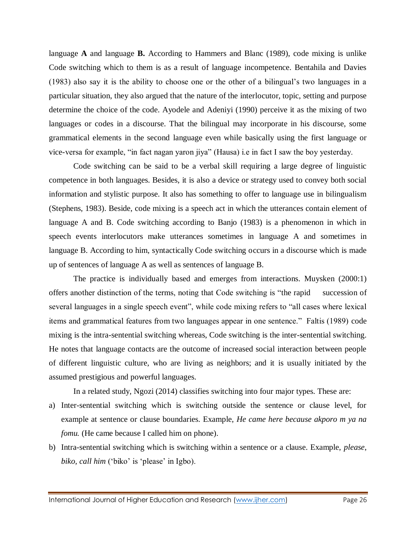language **A** and language **B.** According to Hammers and Blanc (1989), code mixing is unlike Code switching which to them is as a result of language incompetence. Bentahila and Davies (1983) also say it is the ability to choose one or the other of a bilingual's two languages in a particular situation, they also argued that the nature of the interlocutor, topic, setting and purpose determine the choice of the code. Ayodele and Adeniyi (1990) perceive it as the mixing of two languages or codes in a discourse. That the bilingual may incorporate in his discourse, some grammatical elements in the second language even while basically using the first language or vice-versa for example, "in fact nagan yaron jiya" (Hausa) i.e in fact I saw the boy yesterday.

Code switching can be said to be a verbal skill requiring a large degree of linguistic competence in both languages. Besides, it is also a device or strategy used to convey both social information and stylistic purpose. It also has something to offer to language use in bilingualism (Stephens, 1983). Beside, code mixing is a speech act in which the utterances contain element of language A and B. Code switching according to Banjo (1983) is a phenomenon in which in speech events interlocutors make utterances sometimes in language A and sometimes in language B. According to him, syntactically Code switching occurs in a discourse which is made up of sentences of language A as well as sentences of language B.

The practice is individually based and emerges from interactions. Muysken (2000:1) offers another distinction of the terms, noting that Code switching is "the rapid succession of several languages in a single speech event", while code mixing refers to "all cases where lexical items and grammatical features from two languages appear in one sentence." Faltis (1989) code mixing is the intra-sentential switching whereas, Code switching is the inter-sentential switching. He notes that language contacts are the outcome of increased social interaction between people of different linguistic culture, who are living as neighbors; and it is usually initiated by the assumed prestigious and powerful languages.

In a related study, Ngozi (2014) classifies switching into four major types. These are:

- a) Inter-sentential switching which is switching outside the sentence or clause level, for example at sentence or clause boundaries. Example, *He came here because akporo m ya na fomu.* (He came because I called him on phone).
- b) Intra-sentential switching which is switching within a sentence or a clause. Example, *please*, *biko, call him* ('biko' is 'please' in Igbo).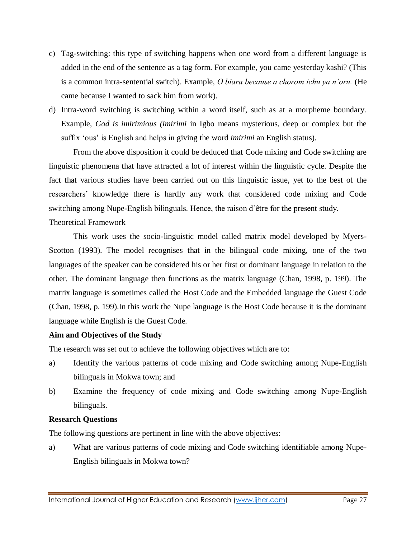- c) Tag-switching: this type of switching happens when one word from a different language is added in the end of the sentence as a tag form. For example, you came yesterday kashi? (This is a common intra-sentential switch). Example, *O biara because a chorom ichu ya n'oru.* (He came because I wanted to sack him from work).
- d) Intra-word switching is switching within a word itself, such as at a morpheme boundary. Example, *God is imirimious (imirimi* in Igbo means mysterious, deep or complex but the suffix 'ous' is English and helps in giving the word *imirimi* an English status).

From the above disposition it could be deduced that Code mixing and Code switching are linguistic phenomena that have attracted a lot of interest within the linguistic cycle. Despite the fact that various studies have been carried out on this linguistic issue, yet to the best of the researchers' knowledge there is hardly any work that considered code mixing and Code switching among Nupe-English bilinguals. Hence, the raison d'être for the present study.

# Theoretical Framework

This work uses the socio-linguistic model called matrix model developed by Myers-Scotton (1993). The model recognises that in the bilingual code mixing, one of the two languages of the speaker can be considered his or her first or dominant language in relation to the other. The dominant language then functions as the matrix language (Chan, 1998, p. 199). The matrix language is sometimes called the Host Code and the Embedded language the Guest Code (Chan, 1998, p. 199).In this work the Nupe language is the Host Code because it is the dominant language while English is the Guest Code.

# **Aim and Objectives of the Study**

The research was set out to achieve the following objectives which are to:

- a) Identify the various patterns of code mixing and Code switching among Nupe-English bilinguals in Mokwa town; and
- b) Examine the frequency of code mixing and Code switching among Nupe-English bilinguals.

# **Research Questions**

The following questions are pertinent in line with the above objectives:

a) What are various patterns of code mixing and Code switching identifiable among Nupe-English bilinguals in Mokwa town?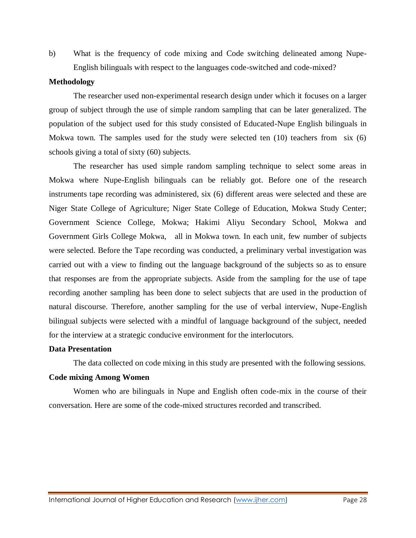b) What is the frequency of code mixing and Code switching delineated among Nupe-English bilinguals with respect to the languages code-switched and code-mixed?

#### **Methodology**

The researcher used non-experimental research design under which it focuses on a larger group of subject through the use of simple random sampling that can be later generalized. The population of the subject used for this study consisted of Educated-Nupe English bilinguals in Mokwa town. The samples used for the study were selected ten (10) teachers from six (6) schools giving a total of sixty (60) subjects.

The researcher has used simple random sampling technique to select some areas in Mokwa where Nupe-English bilinguals can be reliably got. Before one of the research instruments tape recording was administered, six (6) different areas were selected and these are Niger State College of Agriculture; Niger State College of Education, Mokwa Study Center; Government Science College, Mokwa; Hakimi Aliyu Secondary School, Mokwa and Government Girls College Mokwa, all in Mokwa town. In each unit, few number of subjects were selected. Before the Tape recording was conducted, a preliminary verbal investigation was carried out with a view to finding out the language background of the subjects so as to ensure that responses are from the appropriate subjects. Aside from the sampling for the use of tape recording another sampling has been done to select subjects that are used in the production of natural discourse. Therefore, another sampling for the use of verbal interview, Nupe-English bilingual subjects were selected with a mindful of language background of the subject, needed for the interview at a strategic conducive environment for the interlocutors.

# **Data Presentation**

The data collected on code mixing in this study are presented with the following sessions.

# **Code mixing Among Women**

Women who are bilinguals in Nupe and English often code-mix in the course of their conversation. Here are some of the code-mixed structures recorded and transcribed.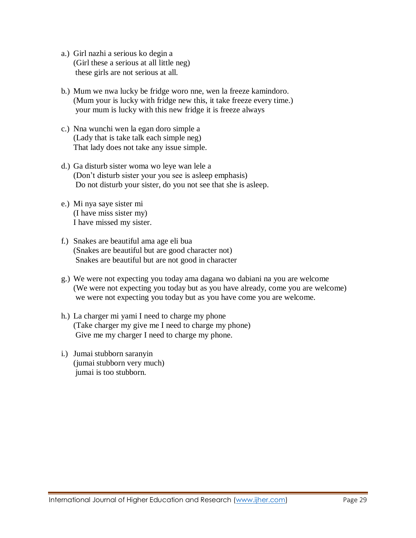- a.) Girl nazhi a serious ko degin a (Girl these a serious at all little neg) these girls are not serious at all.
- b.) Mum we nwa lucky be fridge woro nne, wen la freeze kamindoro. (Mum your is lucky with fridge new this, it take freeze every time.) your mum is lucky with this new fridge it is freeze always
- c.) Nna wunchi wen la egan doro simple a (Lady that is take talk each simple neg) That lady does not take any issue simple.
- d.) Ga disturb sister woma wo leye wan lele a (Don't disturb sister your you see is asleep emphasis) Do not disturb your sister, do you not see that she is asleep.
- e.) Mi nya saye sister mi (I have miss sister my) I have missed my sister.
- f.) Snakes are beautiful ama age eli bua (Snakes are beautiful but are good character not) Snakes are beautiful but are not good in character
- g.) We were not expecting you today ama dagana wo dabiani na you are welcome (We were not expecting you today but as you have already, come you are welcome) we were not expecting you today but as you have come you are welcome.
- h.) La charger mi yami I need to charge my phone (Take charger my give me I need to charge my phone) Give me my charger I need to charge my phone.
- i.) Jumai stubborn saranyin (jumai stubborn very much) jumai is too stubborn.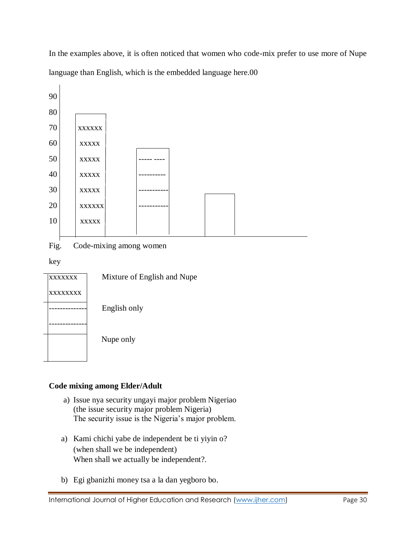In the examples above, it is often noticed that women who code-mix prefer to use more of Nupe language than English, which is the embedded language here.00



Fig. Code-mixing among women

key

 $\mathbf{I}$ 

| <b>XXXXXXX</b> | Mixture of English and Nupe |
|----------------|-----------------------------|
| xxxxxxxx       |                             |
|                | English only                |
|                |                             |
|                | Nupe only                   |
|                |                             |

# **Code mixing among Elder/Adult**

- a) Issue nya security ungayi major problem Nigeriao (the issue security major problem Nigeria) The security issue is the Nigeria's major problem.
- a) Kami chichi yabe de independent be ti yiyin o? (when shall we be independent) When shall we actually be independent?.
- b) Egi gbanizhi money tsa a la dan yegboro bo.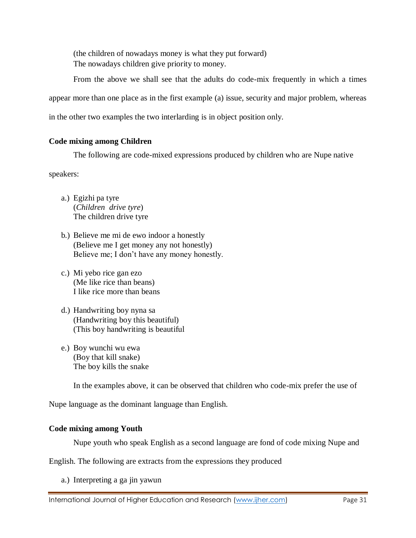(the children of nowadays money is what they put forward) The nowadays children give priority to money.

From the above we shall see that the adults do code-mix frequently in which a times appear more than one place as in the first example (a) issue, security and major problem, whereas in the other two examples the two interlarding is in object position only.

# **Code mixing among Children**

The following are code-mixed expressions produced by children who are Nupe native

speakers:

- a.) Egizhi pa tyre (*Children drive tyre*) The children drive tyre
- b.) Believe me mi de ewo indoor a honestly (Believe me I get money any not honestly) Believe me; I don't have any money honestly.
- c.) Mi yebo rice gan ezo (Me like rice than beans) I like rice more than beans
- d.) Handwriting boy nyna sa (Handwriting boy this beautiful) (This boy handwriting is beautiful
- e.) Boy wunchi wu ewa (Boy that kill snake) The boy kills the snake

In the examples above, it can be observed that children who code-mix prefer the use of

Nupe language as the dominant language than English.

# **Code mixing among Youth**

Nupe youth who speak English as a second language are fond of code mixing Nupe and

English. The following are extracts from the expressions they produced

a.) Interpreting a ga jin yawun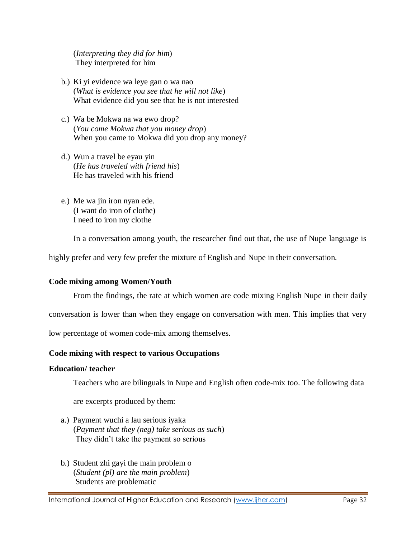(*Interpreting they did for him*) They interpreted for him

- b.) Ki yi evidence wa leye gan o wa nao (*What is evidence you see that he will not like*) What evidence did you see that he is not interested
- c.) Wa be Mokwa na wa ewo drop? (*You come Mokwa that you money drop*) When you came to Mokwa did you drop any money?
- d.) Wun a travel be eyau yin (*He has traveled with friend his*) He has traveled with his friend
- e.) Me wa jin iron nyan ede. (I want do iron of clothe) I need to iron my clothe

In a conversation among youth, the researcher find out that, the use of Nupe language is

highly prefer and very few prefer the mixture of English and Nupe in their conversation.

# **Code mixing among Women/Youth**

From the findings, the rate at which women are code mixing English Nupe in their daily

conversation is lower than when they engage on conversation with men. This implies that very

low percentage of women code-mix among themselves.

# **Code mixing with respect to various Occupations**

#### **Education/ teacher**

Teachers who are bilinguals in Nupe and English often code-mix too. The following data

are excerpts produced by them:

- a.) Payment wuchi a lau serious iyaka (*Payment that they (neg) take serious as such*) They didn't take the payment so serious
- b.) Student zhi gayi the main problem o (*Student (pl) are the main problem*) Students are problematic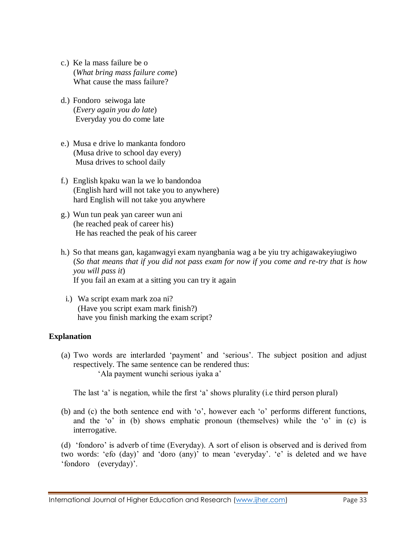- c.) Ke la mass failure be o (*What bring mass failure come*) What cause the mass failure?
- d.) Fondoro seiwoga late (*Every again you do late*) Everyday you do come late
- e.) Musa e drive lo mankanta fondoro (Musa drive to school day every) Musa drives to school daily
- f.) English kpaku wan la we lo bandondoa (English hard will not take you to anywhere) hard English will not take you anywhere
- g.) Wun tun peak yan career wun ani (he reached peak of career his) He has reached the peak of his career
- h.) So that means gan, kaganwagyi exam nyangbania wag a be yiu try achigawakeyiugiwo (*So that means that if you did not pass exam for now if you come and re-try that is how you will pass it*) If you fail an exam at a sitting you can try it again
	- i.) Wa script exam mark zoa ni? (Have you script exam mark finish?) have you finish marking the exam script?

# **Explanation**

(a) Two words are interlarded 'payment' and 'serious'. The subject position and adjust respectively. The same sentence can be rendered thus: 'Ala payment wunchi serious iyaka a'

The last 'a' is negation, while the first 'a' shows plurality (i.e third person plural)

(b) and (c) the both sentence end with 'o', however each 'o' performs different functions, and the 'o' in (b) shows emphatic pronoun (themselves) while the 'o' in (c) is interrogative.

(d) 'fondoro' is adverb of time (Everyday). A sort of elison is observed and is derived from two words: 'efo (day)' and 'doro (any)' to mean 'everyday'. 'e' is deleted and we have 'fondoro (everyday)'.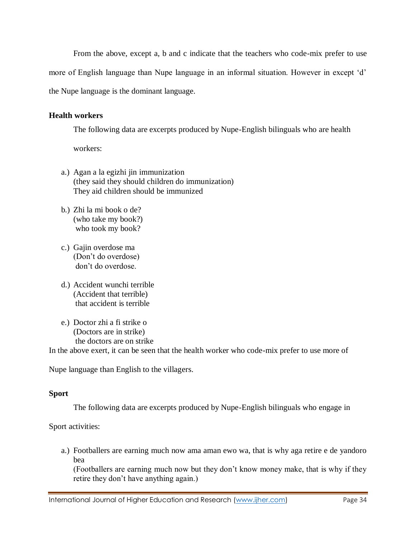From the above, except a, b and c indicate that the teachers who code-mix prefer to use

more of English language than Nupe language in an informal situation. However in except 'd'

the Nupe language is the dominant language.

#### **Health workers**

The following data are excerpts produced by Nupe-English bilinguals who are health

workers:

- a.) Agan a la egizhi jin immunization (they said they should children do immunization) They aid children should be immunized
- b.) Zhi la mi book o de? (who take my book?) who took my book?
- c.) Gajin overdose ma (Don't do overdose) don't do overdose.
- d.) Accident wunchi terrible (Accident that terrible) that accident is terrible
- e.) Doctor zhi a fi strike o (Doctors are in strike) the doctors are on strike

In the above exert, it can be seen that the health worker who code-mix prefer to use more of

Nupe language than English to the villagers.

# **Sport**

The following data are excerpts produced by Nupe-English bilinguals who engage in

Sport activities:

a.) Footballers are earning much now ama aman ewo wa, that is why aga retire e de yandoro bea

(Footballers are earning much now but they don't know money make, that is why if they retire they don't have anything again.)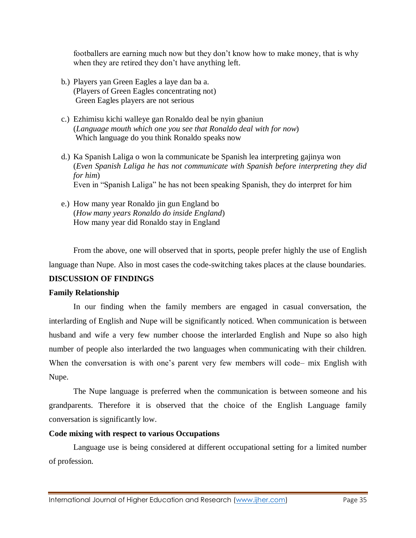footballers are earning much now but they don't know how to make money, that is why when they are retired they don't have anything left.

- b.) Players yan Green Eagles a laye dan ba a. (Players of Green Eagles concentrating not) Green Eagles players are not serious
- c.) Ezhimisu kichi walleye gan Ronaldo deal be nyin gbaniun (*Language mouth which one you see that Ronaldo deal with for now*) Which language do you think Ronaldo speaks now
- d.) Ka Spanish Laliga o won la communicate be Spanish lea interpreting gajinya won (*Even Spanish Laliga he has not communicate with Spanish before interpreting they did for him*) Even in "Spanish Laliga" he has not been speaking Spanish, they do interpret for him
- e.) How many year Ronaldo jin gun England bo (*How many years Ronaldo do inside England*) How many year did Ronaldo stay in England

From the above, one will observed that in sports, people prefer highly the use of English language than Nupe. Also in most cases the code-switching takes places at the clause boundaries. **DISCUSSION OF FINDINGS**

# **Family Relationship**

In our finding when the family members are engaged in casual conversation, the interlarding of English and Nupe will be significantly noticed. When communication is between husband and wife a very few number choose the interlarded English and Nupe so also high number of people also interlarded the two languages when communicating with their children. When the conversation is with one's parent very few members will code– mix English with Nupe.

The Nupe language is preferred when the communication is between someone and his grandparents. Therefore it is observed that the choice of the English Language family conversation is significantly low.

# **Code mixing with respect to various Occupations**

Language use is being considered at different occupational setting for a limited number of profession.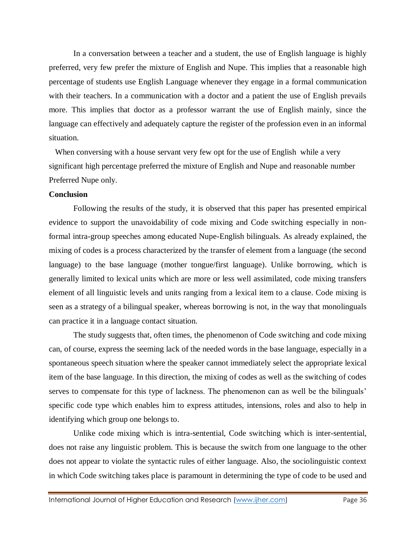In a conversation between a teacher and a student, the use of English language is highly preferred, very few prefer the mixture of English and Nupe. This implies that a reasonable high percentage of students use English Language whenever they engage in a formal communication with their teachers. In a communication with a doctor and a patient the use of English prevails more. This implies that doctor as a professor warrant the use of English mainly, since the language can effectively and adequately capture the register of the profession even in an informal situation.

When conversing with a house servant very few opt for the use of English while a very significant high percentage preferred the mixture of English and Nupe and reasonable number Preferred Nupe only.

# **Conclusion**

Following the results of the study, it is observed that this paper has presented empirical evidence to support the unavoidability of code mixing and Code switching especially in nonformal intra-group speeches among educated Nupe-English bilinguals. As already explained, the mixing of codes is a process characterized by the transfer of element from a language (the second language) to the base language (mother tongue/first language). Unlike borrowing, which is generally limited to lexical units which are more or less well assimilated, code mixing transfers element of all linguistic levels and units ranging from a lexical item to a clause. Code mixing is seen as a strategy of a bilingual speaker, whereas borrowing is not, in the way that monolinguals can practice it in a language contact situation.

The study suggests that, often times, the phenomenon of Code switching and code mixing can, of course, express the seeming lack of the needed words in the base language, especially in a spontaneous speech situation where the speaker cannot immediately select the appropriate lexical item of the base language. In this direction, the mixing of codes as well as the switching of codes serves to compensate for this type of lackness. The phenomenon can as well be the bilinguals' specific code type which enables him to express attitudes, intensions, roles and also to help in identifying which group one belongs to.

Unlike code mixing which is intra-sentential, Code switching which is inter-sentential, does not raise any linguistic problem. This is because the switch from one language to the other does not appear to violate the syntactic rules of either language. Also, the sociolinguistic context in which Code switching takes place is paramount in determining the type of code to be used and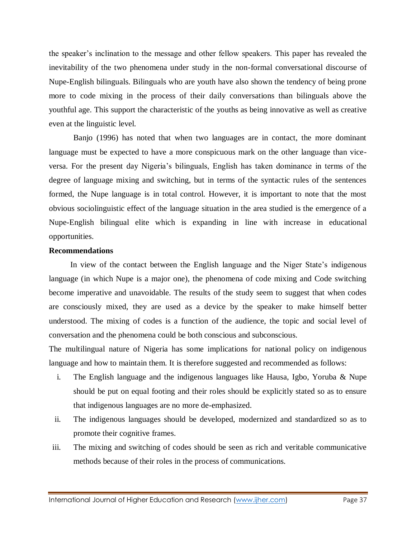the speaker's inclination to the message and other fellow speakers. This paper has revealed the inevitability of the two phenomena under study in the non-formal conversational discourse of Nupe-English bilinguals. Bilinguals who are youth have also shown the tendency of being prone more to code mixing in the process of their daily conversations than bilinguals above the youthful age. This support the characteristic of the youths as being innovative as well as creative even at the linguistic level.

Banjo (1996) has noted that when two languages are in contact, the more dominant language must be expected to have a more conspicuous mark on the other language than viceversa. For the present day Nigeria's bilinguals, English has taken dominance in terms of the degree of language mixing and switching, but in terms of the syntactic rules of the sentences formed, the Nupe language is in total control. However, it is important to note that the most obvious sociolinguistic effect of the language situation in the area studied is the emergence of a Nupe-English bilingual elite which is expanding in line with increase in educational opportunities.

#### **Recommendations**

In view of the contact between the English language and the Niger State's indigenous language (in which Nupe is a major one), the phenomena of code mixing and Code switching become imperative and unavoidable. The results of the study seem to suggest that when codes are consciously mixed, they are used as a device by the speaker to make himself better understood. The mixing of codes is a function of the audience, the topic and social level of conversation and the phenomena could be both conscious and subconscious.

The multilingual nature of Nigeria has some implications for national policy on indigenous language and how to maintain them. It is therefore suggested and recommended as follows:

- i. The English language and the indigenous languages like Hausa, Igbo, Yoruba & Nupe should be put on equal footing and their roles should be explicitly stated so as to ensure that indigenous languages are no more de-emphasized.
- ii. The indigenous languages should be developed, modernized and standardized so as to promote their cognitive frames.
- iii. The mixing and switching of codes should be seen as rich and veritable communicative methods because of their roles in the process of communications.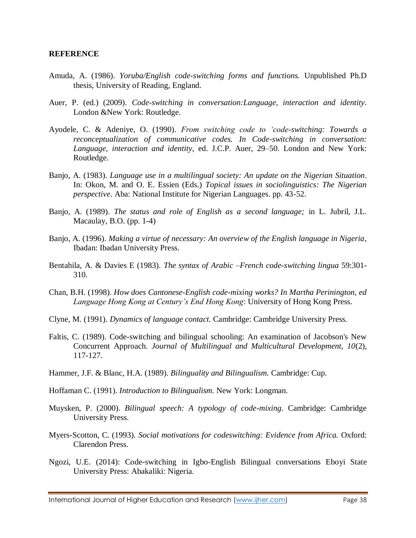#### **REFERENCE**

- Amuda, A. (1986). *Yoruba/English code-switching forms and functions.* Unpublished Ph.D thesis, University of Reading, England.
- Auer, P. (ed.) (2009). *Code-switching in conversation:Language, interaction and identity*. London &New York: Routledge.
- Ayodele, C. & Adeniye, O. (1990). *From switching code to 'code-switching: Towards a reconceptualization of communicative codes. In Code-switching in conversation: Language, interaction and identity*, ed. J.C.P. Auer, 29–50. London and New York: Routledge.
- Banjo, A. (1983). *Language use in a multilingual society: An update on the Nigerian Situation*. In: Okon, M. and O. E. Essien (Eds.) *Topical issues in sociolinguistics: The Nigerian perspective*. Aba: National Institute for Nigerian Languages. pp. 43-52.
- Banjo, A. (1989). *The status and role of English as a second language;* in L. Jubril, J.L. Macaulay, B.O. (pp. 1-4)
- Banjo, A. (1996). *Making a virtue of necessary: An overview of the English language in Nigeria*, Ibadan: Ibadan University Press.
- Bentahila, A. & Davies E (1983). *The syntax of Arabic –French code-switching lingua* 59:301- 310.
- Chan, B.H. (1998). *How does Cantonese-English code-mixing works? In Martha Perinington, ed Language Hong Kong at Century's End Hong Kong*: University of Hong Kong Press.
- Clyne, M. (1991). *Dynamics of language contact.* Cambridge: Cambridge University Press.
- Faltis, C. (1989). Code-switching and bilingual schooling: An examination of Jacobson's New Concurrent Approach. *Journal of Multilingual and Multicultural Development, 10*(2), 117-127.
- Hammer, J.F. & Blanc, H.A. (1989). *Bilinguality and Bilingualism.* Cambridge: Cup.
- Hoffaman C. (1991). *Introduction to Bilingualism.* New York: Longman.
- Muysken, P. (2000). *Bilingual speech: A typology of code-mixing*. Cambridge: Cambridge University Press.
- Myers-Scotton, C. (1993). *Social motivations for codeswitching: Evidence from Africa.* Oxford: Clarendon Press.
- Ngozi, U.E. (2014): Code-switching in Igbo-English Bilingual conversations Eboyi State University Press: Abakaliki: Nigeria.